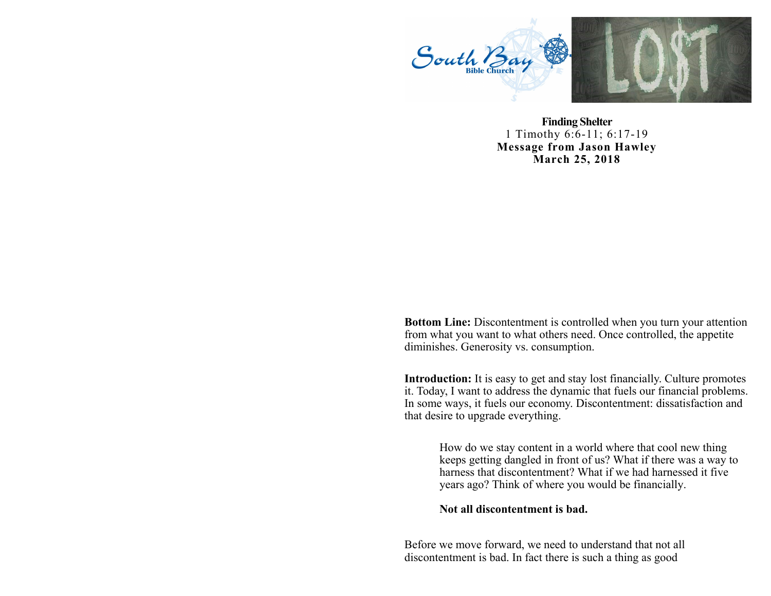

**Finding Shelter**  1 Timothy 6:6-11; 6:17-19 **Message from Jason Hawley March 25, 2018**

**Bottom Line:** Discontentment is controlled when you turn your attention from what you want to what others need. Once controlled, the appetite diminishes. Generosity vs. consumption.

**Introduction:** It is easy to get and stay lost financially. Culture promotes it. Today, I want to address the dynamic that fuels our financial problems. In some ways, it fuels our economy. Discontentment: dissatisfaction and that desire to upgrade everything.

> How do we stay content in a world where that cool new thing keeps getting dangled in front of us? What if there was a way to harness that discontentment? What if we had harnessed it five years ago? Think of where you would be financially.

**Not all discontentment is bad.**

Before we move forward, we need to understand that not all discontentment is bad. In fact there is such a thing as good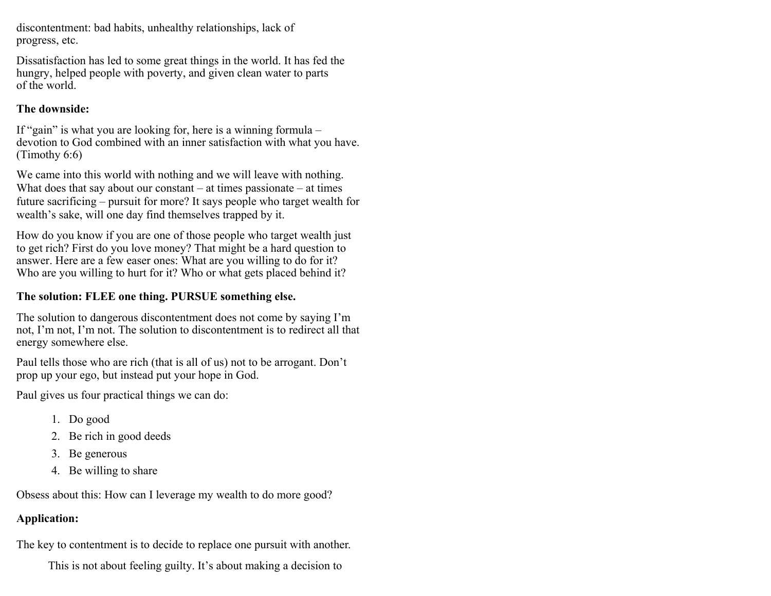discontentment: bad habits, unhealthy relationships, lack of progress, etc.

Dissatisfaction has led to some great things in the world. It has fed the hungry, helped people with poverty, and given clean water to parts of the world.

## **The downside:**

If "gain" is what you are looking for, here is a winning formula – devotion to God combined with an inner satisfaction with what you have. (Timothy 6:6)

We came into this world with nothing and we will leave with nothing. What does that say about our constant  $-$  at times passionate  $-$  at times future sacrificing – pursuit for more? It says people who target wealth for wealth's sake, will one day find themselves trapped by it.

How do you know if you are one of those people who target wealth just to get rich? First do you love money? That might be a hard question to answer. Here are a few easer ones: What are you willing to do for it? Who are you willing to hurt for it? Who or what gets placed behind it?

## **The solution: FLEE one thing. PURSUE something else.**

The solution to dangerous discontentment does not come by saying I'm not, I'm not, I'm not. The solution to discontentment is to redirect all that energy somewhere else.

Paul tells those who are rich (that is all of us) not to be arrogant. Don't prop up your ego, but instead put your hope in God.

Paul gives us four practical things we can do:

- 1. Do good
- 2. Be rich in good deeds
- 3. Be generous
- 4. Be willing to share

Obsess about this: How can I leverage my wealth to do more good?

# **Application:**

The key to contentment is to decide to replace one pursuit with another.

This is not about feeling guilty. It's about making a decision to